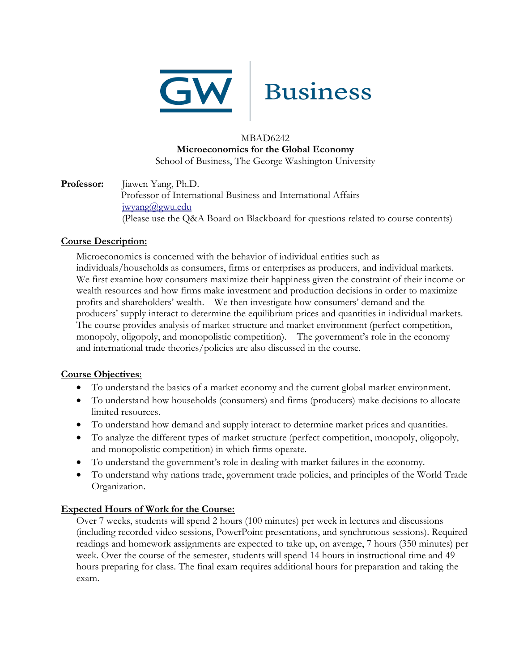

# Business

## MBAD6242 **Microeconomics for the Global Economy** School of Business, The George Washington University

## **Professor:** Jiawen Yang, Ph.D. Professor of International Business and International Affairs [jwyang@gwu.edu](mailto:jwyang@gwu.edu) (Please use the Q&A Board on Blackboard for questions related to course contents)

# **Course Description:**

Microeconomics is concerned with the behavior of individual entities such as individuals/households as consumers, firms or enterprises as producers, and individual markets. We first examine how consumers maximize their happiness given the constraint of their income or wealth resources and how firms make investment and production decisions in order to maximize profits and shareholders' wealth. We then investigate how consumers' demand and the producers' supply interact to determine the equilibrium prices and quantities in individual markets. The course provides analysis of market structure and market environment (perfect competition, monopoly, oligopoly, and monopolistic competition). The government's role in the economy and international trade theories/policies are also discussed in the course.

# **Course Objectives**:

- To understand the basics of a market economy and the current global market environment.
- To understand how households (consumers) and firms (producers) make decisions to allocate limited resources.
- To understand how demand and supply interact to determine market prices and quantities.
- To analyze the different types of market structure (perfect competition, monopoly, oligopoly, and monopolistic competition) in which firms operate.
- To understand the government's role in dealing with market failures in the economy.
- To understand why nations trade, government trade policies, and principles of the World Trade Organization.

# **Expected Hours of Work for the Course:**

Over 7 weeks, students will spend 2 hours (100 minutes) per week in lectures and discussions (including recorded video sessions, PowerPoint presentations, and synchronous sessions). Required readings and homework assignments are expected to take up, on average, 7 hours (350 minutes) per week. Over the course of the semester, students will spend 14 hours in instructional time and 49 hours preparing for class. The final exam requires additional hours for preparation and taking the exam.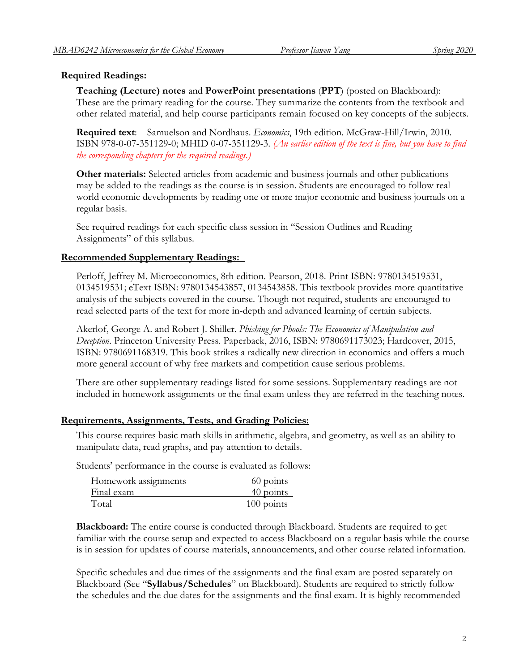## **Required Readings:**

**Teaching (Lecture) notes** and **PowerPoint presentations** (**PPT**) (posted on Blackboard): These are the primary reading for the course. They summarize the contents from the textbook and other related material, and help course participants remain focused on key concepts of the subjects.

**Required text**: Samuelson and Nordhaus. *Economics*, 19th edition. McGraw-Hill/Irwin, 2010. ISBN 978-0-07-351129-0; MHID 0-07-351129-3. *(An earlier edition of the text is fine, but you have to find the corresponding chapters for the required readings.)*

**Other materials:** Selected articles from academic and business journals and other publications may be added to the readings as the course is in session. Students are encouraged to follow real world economic developments by reading one or more major economic and business journals on a regular basis.

See required readings for each specific class session in "Session Outlines and Reading Assignments" of this syllabus.

## **Recommended Supplementary Readings:**

Perloff, Jeffrey M. Microeconomics, 8th edition. Pearson, 2018. Print ISBN: 9780134519531, 0134519531; eText ISBN: 9780134543857, 0134543858. This textbook provides more quantitative analysis of the subjects covered in the course. Though not required, students are encouraged to read selected parts of the text for more in-depth and advanced learning of certain subjects.

Akerlof, George A. and Robert J. Shiller. *Phishing for Phools: The Economics of Manipulation and Deception*. Princeton University Press. Paperback, 2016, ISBN: 9780691173023; Hardcover, 2015, ISBN: 9780691168319. This book strikes a radically new direction in economics and offers a much more general account of why free markets and competition cause serious problems.

There are other supplementary readings listed for some sessions. Supplementary readings are not included in homework assignments or the final exam unless they are referred in the teaching notes.

## **Requirements, Assignments, Tests, and Grading Policies:**

This course requires basic math skills in arithmetic, algebra, and geometry, as well as an ability to manipulate data, read graphs, and pay attention to details.

Students' performance in the course is evaluated as follows:

| Homework assignments | 60 points    |
|----------------------|--------------|
| Final exam           | 40 points    |
| Total                | $100$ points |

**Blackboard:** The entire course is conducted through Blackboard. Students are required to get familiar with the course setup and expected to access Blackboard on a regular basis while the course is in session for updates of course materials, announcements, and other course related information.

Specific schedules and due times of the assignments and the final exam are posted separately on Blackboard (See "**Syllabus/Schedules**" on Blackboard). Students are required to strictly follow the schedules and the due dates for the assignments and the final exam. It is highly recommended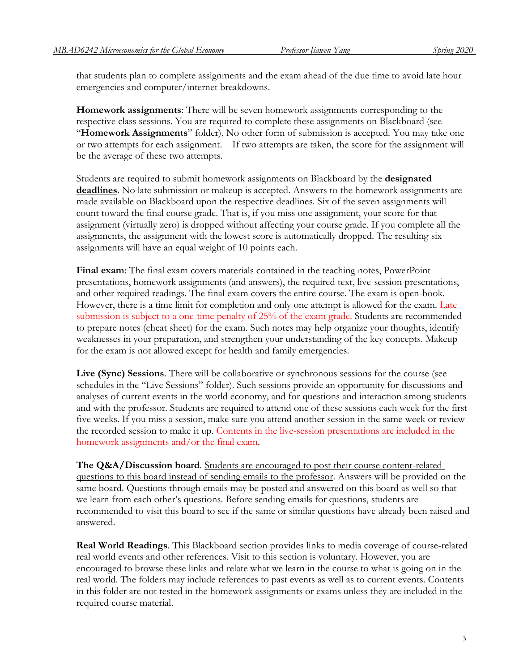that students plan to complete assignments and the exam ahead of the due time to avoid late hour emergencies and computer/internet breakdowns.

**Homework assignments**: There will be seven homework assignments corresponding to the respective class sessions. You are required to complete these assignments on Blackboard (see "**Homework Assignments**" folder). No other form of submission is accepted. You may take one or two attempts for each assignment. If two attempts are taken, the score for the assignment will be the average of these two attempts.

Students are required to submit homework assignments on Blackboard by the **designated deadlines**. No late submission or makeup is accepted. Answers to the homework assignments are made available on Blackboard upon the respective deadlines. Six of the seven assignments will count toward the final course grade. That is, if you miss one assignment, your score for that assignment (virtually zero) is dropped without affecting your course grade. If you complete all the assignments, the assignment with the lowest score is automatically dropped. The resulting six assignments will have an equal weight of 10 points each.

**Final exam**: The final exam covers materials contained in the teaching notes, PowerPoint presentations, homework assignments (and answers), the required text, live-session presentations, and other required readings. The final exam covers the entire course. The exam is open-book. However, there is a time limit for completion and only one attempt is allowed for the exam. Late submission is subject to a one-time penalty of 25% of the exam grade. Students are recommended to prepare notes (cheat sheet) for the exam. Such notes may help organize your thoughts, identify weaknesses in your preparation, and strengthen your understanding of the key concepts. Makeup for the exam is not allowed except for health and family emergencies.

**Live (Sync) Sessions**. There will be collaborative or synchronous sessions for the course (see schedules in the "Live Sessions" folder). Such sessions provide an opportunity for discussions and analyses of current events in the world economy, and for questions and interaction among students and with the professor. Students are required to attend one of these sessions each week for the first five weeks. If you miss a session, make sure you attend another session in the same week or review the recorded session to make it up. Contents in the live-session presentations are included in the homework assignments and/or the final exam.

**The Q&A/Discussion board**. Students are encouraged to post their course content-related questions to this board instead of sending emails to the professor. Answers will be provided on the same board. Questions through emails may be posted and answered on this board as well so that we learn from each other's questions. Before sending emails for questions, students are recommended to visit this board to see if the same or similar questions have already been raised and answered.

**Real World Readings**. This Blackboard section provides links to media coverage of course-related real world events and other references. Visit to this section is voluntary. However, you are encouraged to browse these links and relate what we learn in the course to what is going on in the real world. The folders may include references to past events as well as to current events. Contents in this folder are not tested in the homework assignments or exams unless they are included in the required course material.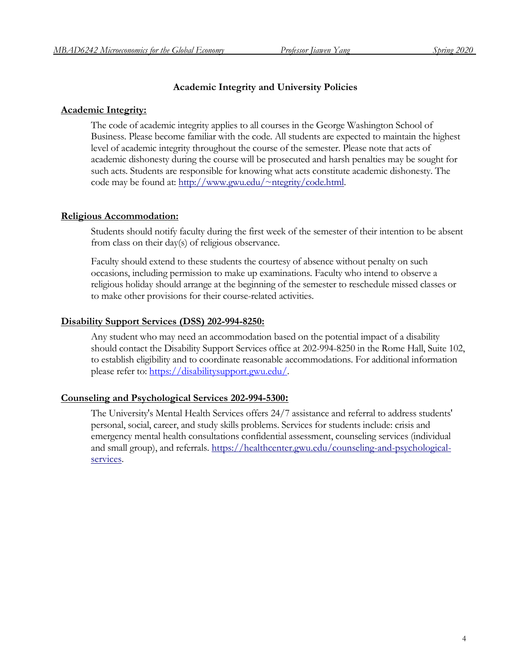### **Academic Integrity and University Policies**

#### **Academic Integrity:**

The code of academic integrity applies to all courses in the George Washington School of Business. Please become familiar with the code. All students are expected to maintain the highest level of academic integrity throughout the course of the semester. Please note that acts of academic dishonesty during the course will be prosecuted and harsh penalties may be sought for such acts. Students are responsible for knowing what acts constitute academic dishonesty. The code may be found at: [http://www.gwu.edu/~ntegrity/code.html.](http://www.gwu.edu/~ntegrity/code.html)

#### **Religious Accommodation:**

Students should notify faculty during the first week of the semester of their intention to be absent from class on their day(s) of religious observance.

Faculty should extend to these students the courtesy of absence without penalty on such occasions, including permission to make up examinations. Faculty who intend to observe a religious holiday should arrange at the beginning of the semester to reschedule missed classes or to make other provisions for their course-related activities.

#### **Disability Support Services (DSS) 202-994-8250:**

Any student who may need an accommodation based on the potential impact of a disability should contact the Disability Support Services office at 202-994-8250 in the Rome Hall, Suite 102, to establish eligibility and to coordinate reasonable accommodations. For additional information please refer to: [https://disabilitysupport.gwu.edu/.](https://disabilitysupport.gwu.edu/)

#### **Counseling and Psychological Services 202-994-5300:**

The University's Mental Health Services offers 24/7 assistance and referral to address students' personal, social, career, and study skills problems. Services for students include: crisis and emergency mental health consultations confidential assessment, counseling services (individual and small group), and referrals. [https://healthcenter.gwu.edu/counseling-and-psychological](https://healthcenter.gwu.edu/counseling-and-psychological-services)[services.](https://healthcenter.gwu.edu/counseling-and-psychological-services)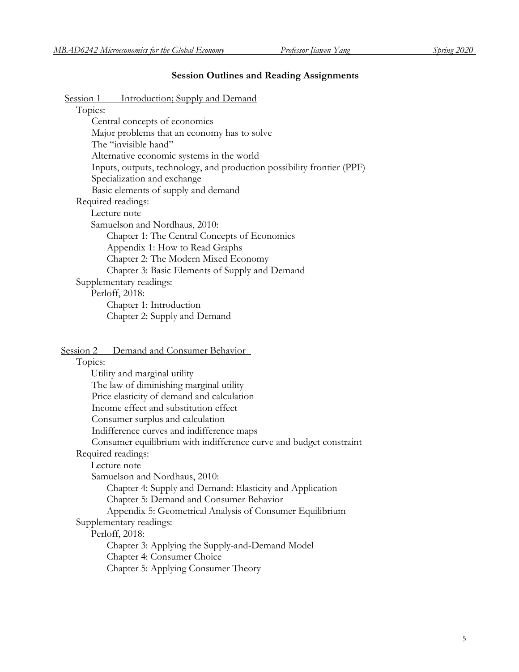# **Session Outlines and Reading Assignments**

| Session 1<br><u>Introduction; Supply and Demand</u>                    |
|------------------------------------------------------------------------|
| Topics:                                                                |
| Central concepts of economics                                          |
| Major problems that an economy has to solve                            |
| The "invisible hand"                                                   |
| Alternative economic systems in the world                              |
| Inputs, outputs, technology, and production possibility frontier (PPF) |
| Specialization and exchange                                            |
| Basic elements of supply and demand                                    |
| Required readings:                                                     |
| Lecture note                                                           |
| Samuelson and Nordhaus, 2010:                                          |
| Chapter 1: The Central Concepts of Economics                           |
| Appendix 1: How to Read Graphs                                         |
| Chapter 2: The Modern Mixed Economy                                    |
| Chapter 3: Basic Elements of Supply and Demand                         |
| Supplementary readings:                                                |
| Perloff, 2018:                                                         |
| Chapter 1: Introduction                                                |
| Chapter 2: Supply and Demand                                           |
|                                                                        |

| Session 2 | Demand and Consumer Behavior |  |
|-----------|------------------------------|--|
|           |                              |  |

| Topics:                                                            |
|--------------------------------------------------------------------|
| Utility and marginal utility                                       |
| The law of diminishing marginal utility                            |
| Price elasticity of demand and calculation                         |
| Income effect and substitution effect                              |
| Consumer surplus and calculation                                   |
| Indifference curves and indifference maps                          |
| Consumer equilibrium with indifference curve and budget constraint |
| Required readings:                                                 |
| Lecture note                                                       |
| Samuelson and Nordhaus, 2010:                                      |
| Chapter 4: Supply and Demand: Elasticity and Application           |
| Chapter 5: Demand and Consumer Behavior                            |
| Appendix 5: Geometrical Analysis of Consumer Equilibrium           |
| Supplementary readings:                                            |
| Perloff, 2018:                                                     |
| Chapter 3: Applying the Supply-and-Demand Model                    |
| Chapter 4: Consumer Choice                                         |
| Chapter 5: Applying Consumer Theory                                |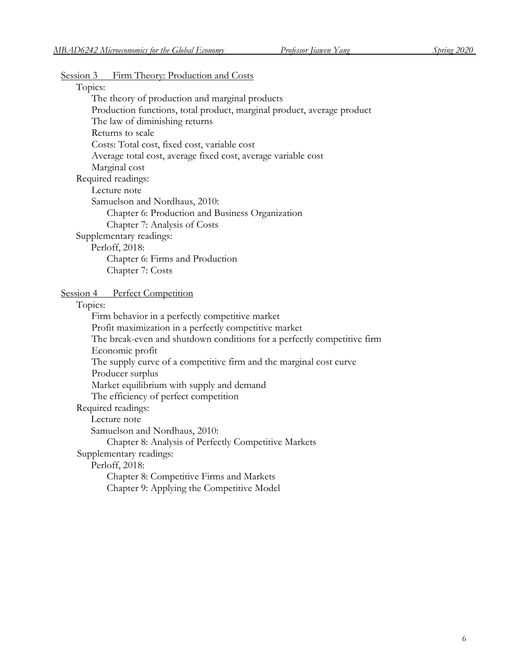#### Session 3 Firm Theory: Production and Costs

# Topics:

The theory of production and marginal products Production functions, total product, marginal product, average product The law of diminishing returns Returns to scale Costs: Total cost, fixed cost, variable cost Average total cost, average fixed cost, average variable cost Marginal cost Required readings: Lecture note Samuelson and Nordhaus, 2010: Chapter 6: Production and Business Organization Chapter 7: Analysis of Costs Supplementary readings: Perloff, 2018: Chapter 6: Firms and Production Chapter 7: Costs

Session 4 Perfect Competition

#### Topics:

Firm behavior in a perfectly competitive market Profit maximization in a perfectly competitive market The break-even and shutdown conditions for a perfectly competitive firm Economic profit The supply curve of a competitive firm and the marginal cost curve Producer surplus Market equilibrium with supply and demand The efficiency of perfect competition Required readings: Lecture note Samuelson and Nordhaus, 2010: Chapter 8: Analysis of Perfectly Competitive Markets Supplementary readings: Perloff, 2018: Chapter 8: Competitive Firms and Markets

Chapter 9: Applying the Competitive Model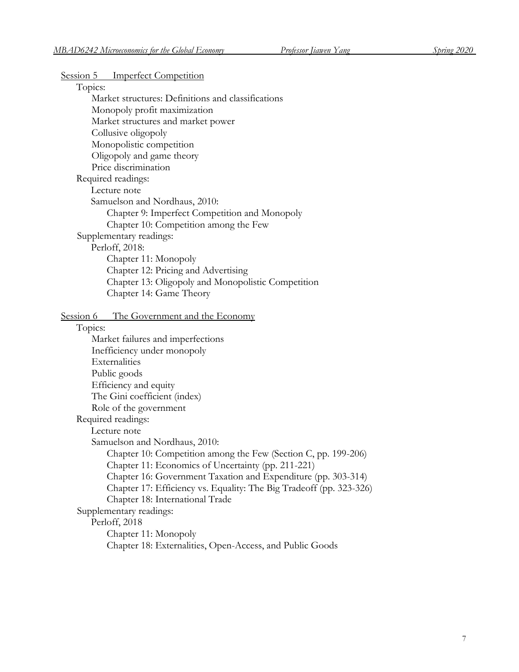| Session 5 Imperfect Competition                                     |  |
|---------------------------------------------------------------------|--|
| Topics:                                                             |  |
| Market structures: Definitions and classifications                  |  |
| Monopoly profit maximization                                        |  |
| Market structures and market power                                  |  |
| Collusive oligopoly                                                 |  |
| Monopolistic competition                                            |  |
| Oligopoly and game theory                                           |  |
| Price discrimination                                                |  |
| Required readings:                                                  |  |
| Lecture note                                                        |  |
| Samuelson and Nordhaus, 2010:                                       |  |
| Chapter 9: Imperfect Competition and Monopoly                       |  |
| Chapter 10: Competition among the Few                               |  |
| Supplementary readings:                                             |  |
| Perloff, 2018:                                                      |  |
| Chapter 11: Monopoly                                                |  |
| Chapter 12: Pricing and Advertising                                 |  |
| Chapter 13: Oligopoly and Monopolistic Competition                  |  |
| Chapter 14: Game Theory                                             |  |
|                                                                     |  |
| Session 6 The Government and the Economy<br>Topics:                 |  |
| Market failures and imperfections                                   |  |
| Inefficiency under monopoly                                         |  |
| Externalities                                                       |  |
| Public goods                                                        |  |
| Efficiency and equity                                               |  |
| The Gini coefficient (index)                                        |  |
| Role of the government                                              |  |
| Required readings:                                                  |  |
| Lecture note                                                        |  |
| Samuelson and Nordhaus, 2010:                                       |  |
| Chapter 10: Competition among the Few (Section C, pp. 199-206)      |  |
| Chapter 11: Economics of Uncertainty (pp. 211-221)                  |  |
| Chapter 16: Government Taxation and Expenditure (pp. 303-314)       |  |
| Chapter 17: Efficiency vs. Equality: The Big Tradeoff (pp. 323-326) |  |
| Chapter 18: International Trade                                     |  |
| Supplementary readings:                                             |  |
| Perloff, 2018                                                       |  |
| Chapter 11: Monopoly                                                |  |
| Chapter 18: Externalities, Open-Access, and Public Goods            |  |